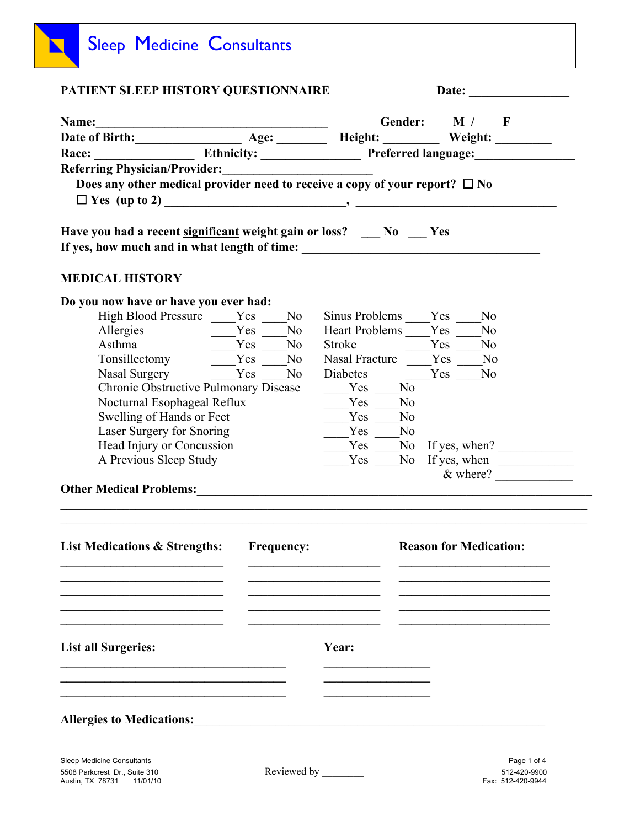| PATIENT SLEEP HISTORY QUESTIONNAIRE                                              | Date: $\qquad \qquad$                                                      |
|----------------------------------------------------------------------------------|----------------------------------------------------------------------------|
| Name:                                                                            | Gender: $\Box$ M / $\Box$ F                                                |
|                                                                                  | Name:<br>Date of Birth: Age: Age: Height: Weight: Weight: Number of Birth: |
|                                                                                  | Race: Ethnicity: Preferred language: Mace:                                 |
|                                                                                  |                                                                            |
| Does any other medical provider need to receive a copy of your report? $\Box$ No |                                                                            |
|                                                                                  |                                                                            |
| Have you had a recent significant weight gain or loss? No Yes                    |                                                                            |
| <b>MEDICAL HISTORY</b>                                                           |                                                                            |
| Do you now have or have you ever had:                                            |                                                                            |
| High Blood Pressure Yes No                                                       | Sinus Problems Yes No                                                      |
|                                                                                  | Heart Problems ____Yes ____<br>N <sub>o</sub>                              |
| $Yes$ No<br>Asthma                                                               | Stroke No No                                                               |
| Tonsillectomy _____Yes ____ No                                                   | Nasal Fracture Yes No                                                      |
| Nasal Surgery Yes No                                                             | Diabetes<br>Yes No                                                         |
| Chronic Obstructive Pulmonary Disease                                            | $Yes \tNo$                                                                 |
| Nocturnal Esophageal Reflux                                                      | Yes No                                                                     |
| Swelling of Hands or Feet                                                        | N <sub>o</sub><br>Yes                                                      |
| Laser Surgery for Snoring                                                        | No<br>Yes                                                                  |
| Head Injury or Concussion                                                        | $\frac{1}{\sqrt{1-\frac{1}{2}}}\text{No}$ If yes, when?<br>Yes             |
| A Previous Sleep Study                                                           | If yes, when<br>Yes No                                                     |
|                                                                                  | $\&$ where?                                                                |
| <b>Other Medical Problems:</b>                                                   |                                                                            |
|                                                                                  |                                                                            |
| <b>List Medications &amp; Strengths:</b><br><b>Frequency:</b>                    | <b>Reason for Medication:</b>                                              |
|                                                                                  |                                                                            |
|                                                                                  |                                                                            |
|                                                                                  |                                                                            |
| <b>List all Surgeries:</b>                                                       | Year:                                                                      |
|                                                                                  |                                                                            |
| <b>Allergies to Medications:</b>                                                 |                                                                            |
|                                                                                  |                                                                            |

5508 Parkcrest Dr., Suite 310<br>Austin, TX 78731 11/01/10

٦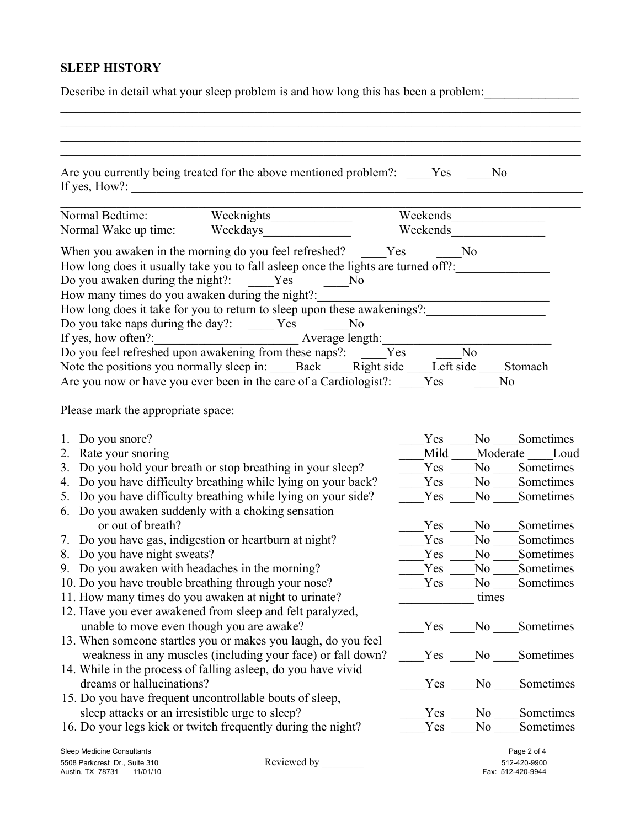## **SLEEP HISTORY**

Describe in detail what your sleep problem is and how long this has been a problem:

| If yes, How?:                                                                                                                       | Are you currently being treated for the above mentioned problem?: Yes<br><u> 1989 - Johann John Stone, martin de Britisher (b. 1989)</u>                                                                                                                                                                                                                                                                                                                         |                   | No    |                                                  |
|-------------------------------------------------------------------------------------------------------------------------------------|------------------------------------------------------------------------------------------------------------------------------------------------------------------------------------------------------------------------------------------------------------------------------------------------------------------------------------------------------------------------------------------------------------------------------------------------------------------|-------------------|-------|--------------------------------------------------|
| Normal Bedtime:                                                                                                                     |                                                                                                                                                                                                                                                                                                                                                                                                                                                                  | Weekends          |       |                                                  |
| Normal Wake up time:                                                                                                                | Weekdays                                                                                                                                                                                                                                                                                                                                                                                                                                                         | Weekends          |       |                                                  |
| Do you awaken during the night?:<br>How many times do you awaken during the night?:<br>Do you take naps during the day?: ______ Yes | When you awaken in the morning do you feel refreshed? Yes<br>How long does it usually take you to fall asleep once the lights are turned off?:<br>Yes<br>No.<br>How long does it take for you to return to sleep upon these awakenings?:<br>N <sub>o</sub><br>Do you feel refreshed upon awakening from these naps?:<br>Note the positions you normally sleep in: Back Right side Left side<br>Are you now or have you ever been in the care of a Cardiologist?: | No.<br>Yes<br>Yes | No    | Stomach<br>No                                    |
| Please mark the appropriate space:                                                                                                  |                                                                                                                                                                                                                                                                                                                                                                                                                                                                  |                   |       |                                                  |
| 1. Do you snore?                                                                                                                    |                                                                                                                                                                                                                                                                                                                                                                                                                                                                  | Yes               | No No | Sometimes                                        |
| Rate your snoring<br>2.                                                                                                             |                                                                                                                                                                                                                                                                                                                                                                                                                                                                  | Mild              |       | Moderate Loud                                    |
| 3.                                                                                                                                  | Do you hold your breath or stop breathing in your sleep?                                                                                                                                                                                                                                                                                                                                                                                                         | Yes               |       | No Sometimes                                     |
| 4.                                                                                                                                  | Do you have difficulty breathing while lying on your back?                                                                                                                                                                                                                                                                                                                                                                                                       | Yes               |       | No Sometimes                                     |
| 5.                                                                                                                                  | Do you have difficulty breathing while lying on your side?                                                                                                                                                                                                                                                                                                                                                                                                       | Yes               | No No | Sometimes                                        |
|                                                                                                                                     | 6. Do you awaken suddenly with a choking sensation                                                                                                                                                                                                                                                                                                                                                                                                               |                   |       |                                                  |
| or out of breath?                                                                                                                   |                                                                                                                                                                                                                                                                                                                                                                                                                                                                  | Yes               | No    | Sometimes                                        |
|                                                                                                                                     | 7. Do you have gas, indigestion or heartburn at night?                                                                                                                                                                                                                                                                                                                                                                                                           | Yes               | No    | Sometimes                                        |
| 8. Do you have night sweats?                                                                                                        |                                                                                                                                                                                                                                                                                                                                                                                                                                                                  | Yes               | No.   | Sometimes                                        |
| 9. Do you awaken with headaches in the morning?                                                                                     |                                                                                                                                                                                                                                                                                                                                                                                                                                                                  | Yes               | No    | Sometimes                                        |
| 10. Do you have trouble breathing through your nose?<br>Yes                                                                         |                                                                                                                                                                                                                                                                                                                                                                                                                                                                  |                   |       | Sometimes                                        |
|                                                                                                                                     | 11. How many times do you awaken at night to urinate?                                                                                                                                                                                                                                                                                                                                                                                                            |                   | times |                                                  |
|                                                                                                                                     | 12. Have you ever awakened from sleep and felt paralyzed,                                                                                                                                                                                                                                                                                                                                                                                                        |                   |       |                                                  |
| unable to move even though you are awake?                                                                                           |                                                                                                                                                                                                                                                                                                                                                                                                                                                                  | Yes               | No.   | Sometimes                                        |
|                                                                                                                                     | 13. When someone startles you or makes you laugh, do you feel                                                                                                                                                                                                                                                                                                                                                                                                    |                   |       |                                                  |
|                                                                                                                                     | weakness in any muscles (including your face) or fall down?                                                                                                                                                                                                                                                                                                                                                                                                      | Yes               | No    | Sometimes                                        |
|                                                                                                                                     | 14. While in the process of falling asleep, do you have vivid                                                                                                                                                                                                                                                                                                                                                                                                    |                   |       |                                                  |
| dreams or hallucinations?                                                                                                           |                                                                                                                                                                                                                                                                                                                                                                                                                                                                  | Yes               | No    | Sometimes                                        |
|                                                                                                                                     | 15. Do you have frequent uncontrollable bouts of sleep,                                                                                                                                                                                                                                                                                                                                                                                                          |                   |       |                                                  |
| sleep attacks or an irresistible urge to sleep?                                                                                     |                                                                                                                                                                                                                                                                                                                                                                                                                                                                  | Yes               | No    | Sometimes                                        |
|                                                                                                                                     | 16. Do your legs kick or twitch frequently during the night?                                                                                                                                                                                                                                                                                                                                                                                                     | Yes               | No    | Sometimes                                        |
| Sleep Medicine Consultants<br>5508 Parkcrest Dr., Suite 310<br>Austin, TX 78731 11/01/10                                            | Reviewed by                                                                                                                                                                                                                                                                                                                                                                                                                                                      |                   |       | Page 2 of 4<br>512-420-9900<br>Fax: 512-420-9944 |

5508 Parkcrest Dr., Suite 310<br>Austin, TX 78731 11/01/10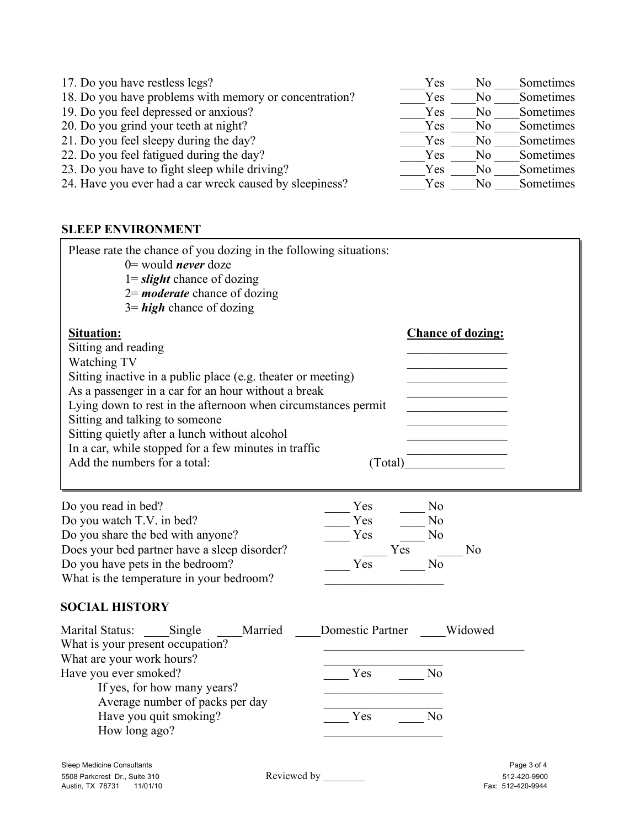| 17. Do you have restless legs?                          | Yes | N <sub>0</sub> | Sometimes |
|---------------------------------------------------------|-----|----------------|-----------|
| 18. Do you have problems with memory or concentration?  | Yes | No             | Sometimes |
| 19. Do you feel depressed or anxious?                   | Yes | N <sub>0</sub> | Sometimes |
| 20. Do you grind your teeth at night?                   | Yes | No             | Sometimes |
| 21. Do you feel sleepy during the day?                  | Yes | No.            | Sometimes |
| 22. Do you feel fatigued during the day?                | Yes | No.            | Sometimes |
| 23. Do you have to fight sleep while driving?           | Yes | No.            | Sometimes |
| 24. Have you ever had a car wreck caused by sleepiness? | Yes | No             | Sometimes |

## **SLEEP ENVIRONMENT**

| Please rate the chance of you dozing in the following situations:<br>$0=$ would <i>never</i> doze<br>$1 =$ slight chance of dozing<br>$2=$ <b>moderate</b> chance of dozing<br>$3 = high$ chance of dozing                                                                                                                  |                          |
|-----------------------------------------------------------------------------------------------------------------------------------------------------------------------------------------------------------------------------------------------------------------------------------------------------------------------------|--------------------------|
| Situation:<br>Sitting and reading<br>Watching TV<br>Sitting inactive in a public place (e.g. theater or meeting)<br>As a passenger in a car for an hour without a break<br>Lying down to rest in the afternoon when circumstances permit<br>Sitting and talking to someone<br>Sitting quietly after a lunch without alcohol | <b>Chance of dozing:</b> |
| In a car, while stopped for a few minutes in traffic<br>Add the numbers for a total:                                                                                                                                                                                                                                        | Total                    |

| Do you read in bed?                          | Yes | No  |    |
|----------------------------------------------|-----|-----|----|
| Do you watch T.V. in bed?                    | Yes | No  |    |
| Do you share the bed with anyone?            | Yes | No  |    |
| Does your bed partner have a sleep disorder? |     | Yes | Nο |
| Do you have pets in the bedroom?             | Yes |     |    |
| What is the temperature in your bedroom?     |     |     |    |

## **SOCIAL HISTORY**

| Marital Status:                  | Single                          | Married | Domestic Partner | Widowed |
|----------------------------------|---------------------------------|---------|------------------|---------|
| What is your present occupation? |                                 |         |                  |         |
| What are your work hours?        |                                 |         |                  |         |
| Have you ever smoked?            |                                 |         | Yes              |         |
|                                  | If yes, for how many years?     |         |                  |         |
|                                  | Average number of packs per day |         |                  |         |
|                                  | Have you quit smoking?          |         | Yes              |         |
| How long ago?                    |                                 |         |                  |         |

5508 Parkcrest Dr., Suite 310 Reviewed by \_\_\_\_\_\_\_\_ 512-420-9900